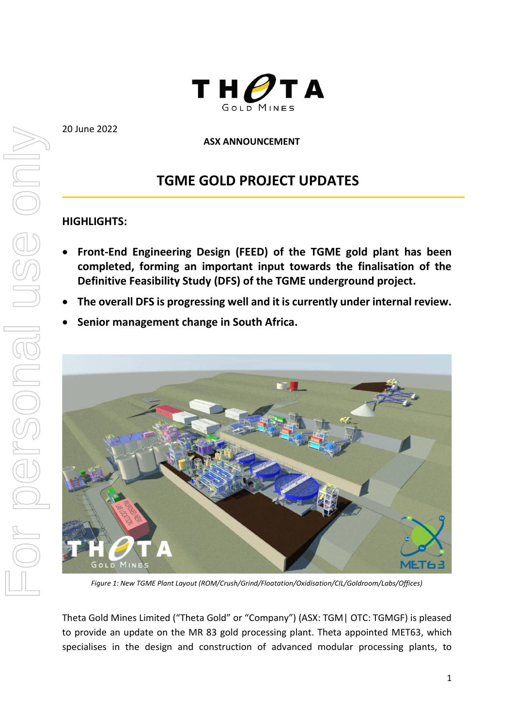

20 June 2022

## **ASX ANNOUNCEMENT**

# **TGME GOLD PROJECT UPDATES**

# **HIGHLIGHTS:**

- **Front-End Engineering Design (FEED) of the TGME gold plant has been completed, forming an important input towards the finalisation of the Definitive Feasibility Study (DFS) of the TGME underground project.**
- **The overall DFS is progressing well and it is currently under internal review.**
- **Senior management change in South Africa.**



*Figure 1: New TGME Plant Layout (ROM/Crush/Grind/Floatation/Oxidisation/CIL/Goldroom/Labs/Offices)*

Theta Gold Mines Limited ("Theta Gold" or "Company") (ASX: TGM| OTC: TGMGF) is pleased to provide an update on the MR 83 gold processing plant. Theta appointed MET63, which specialises in the design and construction of advanced modular processing plants, to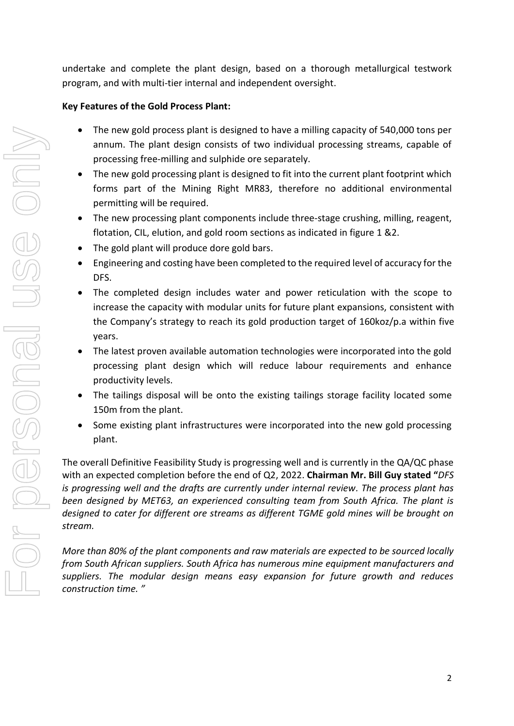undertake and complete the plant design, based on a thorough metallurgical testwork program, and with multi-tier internal and independent oversight.

# **Key Features of the Gold Process Plant:**

- The new gold process plant is designed to have a milling capacity of 540,000 tons per annum. The plant design consists of two individual processing streams, capable of processing free-milling and sulphide ore separately.
- The new gold processing plant is designed to fit into the current plant footprint which forms part of the Mining Right MR83, therefore no additional environmental permitting will be required.
- The new processing plant components include three-stage crushing, milling, reagent, flotation, CIL, elution, and gold room sections as indicated in figure 1 &2.
- The gold plant will produce dore gold bars.
- Engineering and costing have been completed to the required level of accuracy for the DFS.
- The completed design includes water and power reticulation with the scope to increase the capacity with modular units for future plant expansions, consistent with the Company's strategy to reach its gold production target of 160koz/p.a within five years.
- The latest proven available automation technologies were incorporated into the gold processing plant design which will reduce labour requirements and enhance productivity levels.
- The tailings disposal will be onto the existing tailings storage facility located some 150m from the plant.
- Some existing plant infrastructures were incorporated into the new gold processing plant.

The overall Definitive Feasibility Study is progressing well and is currently in the QA/QC phase with an expected completion before the end of Q2, 2022. **Chairman Mr. Bill Guy stated "***DFS is progressing well and the drafts are currently under internal review. The process plant has been designed by MET63, an experienced consulting team from South Africa. The plant is designed to cater for different ore streams as different TGME gold mines will be brought on stream.* 

*More than 80% of the plant components and raw materials are expected to be sourced locally from South African suppliers. South Africa has numerous mine equipment manufacturers and suppliers. The modular design means easy expansion for future growth and reduces construction time. "*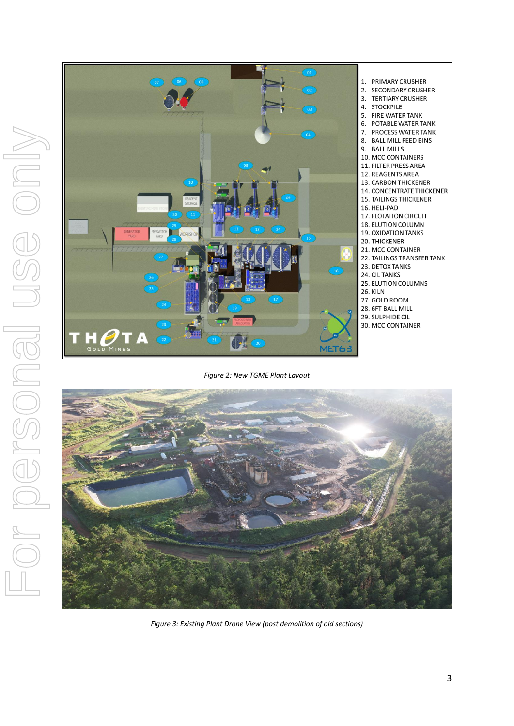

#### *Figure 2: New TGME Plant Layout*



*Figure 3: Existing Plant Drone View (post demolition of old sections)*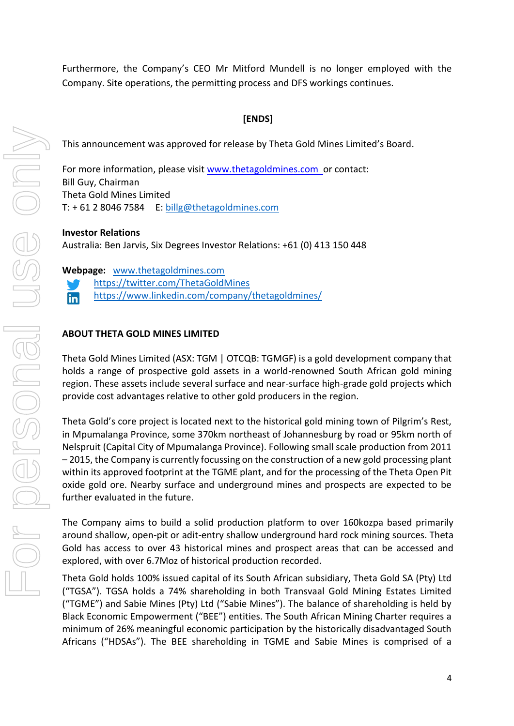Furthermore, the Company's CEO Mr Mitford Mundell is no longer employed with the Company. Site operations, the permitting process and DFS workings continues.

# **[ENDS]**

This announcement was approved for release by Theta Gold Mines Limited's Board.

For more information, please visit [www.thetagoldmines.com](http://www.stonewallresources.com/) or contact: Bill Guy, Chairman Theta Gold Mines Limited T:  $+61280467584$  E: [billg@thetagoldmines.com](mailto:billg@thetagoldmines.com)

### **Investor Relations**

Australia: Ben Jarvis, Six Degrees Investor Relations: +61 (0) 413 150 448

**Webpage:** [www.thetagoldmines.com](http://www.thetagoldmines.com/) 

- <https://twitter.com/ThetaGoldMines>
- <https://www.linkedin.com/company/thetagoldmines/> in

### **ABOUT THETA GOLD MINES LIMITED**

Theta Gold Mines Limited (ASX: TGM | OTCQB: TGMGF) is a gold development company that holds a range of prospective gold assets in a world-renowned South African gold mining region. These assets include several surface and near-surface high-grade gold projects which provide cost advantages relative to other gold producers in the region.

Theta Gold's core project is located next to the historical gold mining town of Pilgrim's Rest, in Mpumalanga Province, some 370km northeast of Johannesburg by road or 95km north of Nelspruit (Capital City of Mpumalanga Province). Following small scale production from 2011 – 2015, the Company is currently focussing on the construction of a new gold processing plant within its approved footprint at the TGME plant, and for the processing of the Theta Open Pit oxide gold ore. Nearby surface and underground mines and prospects are expected to be further evaluated in the future.

The Company aims to build a solid production platform to over 160kozpa based primarily around shallow, open-pit or adit-entry shallow underground hard rock mining sources. Theta Gold has access to over 43 historical mines and prospect areas that can be accessed and explored, with over 6.7Moz of historical production recorded.

Theta Gold holds 100% issued capital of its South African subsidiary, Theta Gold SA (Pty) Ltd ("TGSA"). TGSA holds a 74% shareholding in both Transvaal Gold Mining Estates Limited ("TGME") and Sabie Mines (Pty) Ltd ("Sabie Mines"). The balance of shareholding is held by Black Economic Empowerment ("BEE") entities. The South African Mining Charter requires a minimum of 26% meaningful economic participation by the historically disadvantaged South Africans ("HDSAs"). The BEE shareholding in TGME and Sabie Mines is comprised of a